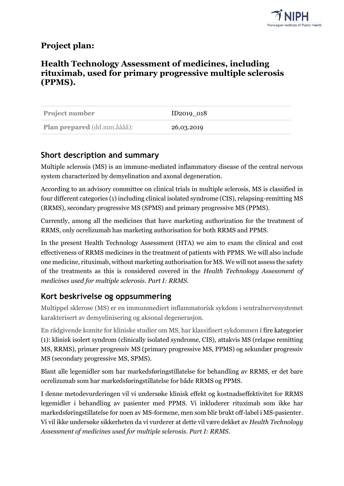# **Project plan:**

## **Health Technology Assessment of medicines, including rituximab, used for primary progressive multiple sclerosis (PPMS).**

| <b>Project number</b>       | $ID2019_018$ |
|-----------------------------|--------------|
| Plan prepared (dd.mm.åååå): | 26.03.2019   |

# **Short description and summary**

Multiple sclerosis (MS) is an immune-mediated inflammatory disease of the central nervous system characterized by demyelination and axonal degeneration.

According to an advisory committee on clinical trials in multiple sclerosis, MS is classified in four different categories (1) including clinical isolated syndrome (CIS), relapsing-remitting MS (RRMS), secondary progressive MS (SPMS) and primary progressive MS (PPMS).

Currently, among all the medicines that have marketing authorization for the treatment of RRMS, only ocrelizumab has marketing authorisation for both RRMS and PPMS.

In the present Health Technology Assessment (HTA) we aim to exam the clinical and cost effectiveness of RRMS medicines in the treatment of patients with PPMS. We will also include one medicine, rituximab, without marketing authorisation for MS. We will not assess the safety of the treatments as this is considered covered in the *Health Technology Assessment of medicines used for multiple sclerosis. Part I: RRMS.*

# **Kort beskrivelse og oppsummering**

Multippel sklerose (MS) er en immunmediert inflammatorisk sykdom i sentralnervesystemet karakterisert av demyelinisering og aksonal degenerasjon.

En rådgivende komite for kliniske studier om MS, har klassifisert sykdommen i fire kategorier (1): klinisk isolert syndrom (clinically isolated syndrome, CIS), attakvis MS (relapse remitting MS, RRMS), primær progressiv MS (primary progressive MS, PPMS) og sekundær progressiv MS (secondary progressive MS, SPMS).

Blant alle legemidler som har markedsføringstillatelse for behandling av RRMS, er det bare ocrelizumab som har markedsføringstillatelse for både RRMS og PPMS.

I denne metodevurderingen vil vi undersøke klinisk effekt og kostnadseffektivitet for RRMS legemidler i behandling av pasienter med PPMS. Vi inkluderer rituximab som ikke har markedsføringstillatelse for noen av MS-formene, men som blir brukt off-label i MS-pasienter. Vi vil ikke undersøke sikkerheten da vi vurderer at dette vil være dekket av *Health Technology Assessment of medicines used for multiple sclerosis. Part I: RRMS.*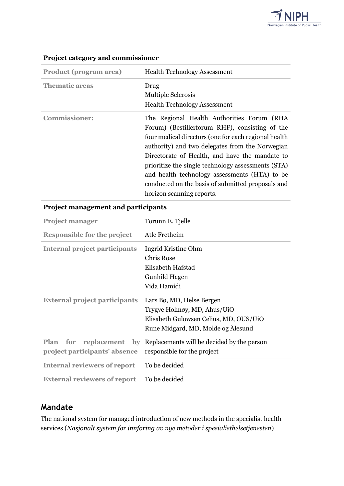

| <b>Product (program area)</b> | <b>Health Technology Assessment</b>                                                                                                                                                                                                                                                                                                                                                                                   |  |
|-------------------------------|-----------------------------------------------------------------------------------------------------------------------------------------------------------------------------------------------------------------------------------------------------------------------------------------------------------------------------------------------------------------------------------------------------------------------|--|
| <b>Thematic areas</b>         | Drug<br><b>Multiple Sclerosis</b>                                                                                                                                                                                                                                                                                                                                                                                     |  |
|                               | <b>Health Technology Assessment</b>                                                                                                                                                                                                                                                                                                                                                                                   |  |
| <b>Commissioner:</b>          | The Regional Health Authorities Forum (RHA<br>Forum) (Bestillerforum RHF), consisting of the<br>four medical directors (one for each regional health<br>authority) and two delegates from the Norwegian<br>Directorate of Health, and have the mandate to<br>prioritize the single technology assessments (STA)<br>and health technology assessments (HTA) to be<br>conducted on the basis of submitted proposals and |  |
|                               | horizon scanning reports.                                                                                                                                                                                                                                                                                                                                                                                             |  |

### **Project category and commissioner**

### **Project management and participants**

| <b>Project manager</b>                                      | Torunn E. Tjelle                                                                                                                         |
|-------------------------------------------------------------|------------------------------------------------------------------------------------------------------------------------------------------|
| <b>Responsible for the project</b>                          | Atle Fretheim                                                                                                                            |
| <b>Internal project participants</b>                        | Ingrid Kristine Ohm<br><b>Chris Rose</b><br>Elisabeth Hafstad<br>Gunhild Hagen<br>Vida Hamidi                                            |
| <b>External project participants</b>                        | Lars Bø, MD, Helse Bergen<br>Trygve Holmøy, MD, Ahus/UiO<br>Elisabeth Gulowsen Celius, MD, OUS/UiO<br>Rune Midgard, MD, Molde og Ålesund |
| Plan for<br>replacement by<br>project participants' absence | Replacements will be decided by the person<br>responsible for the project                                                                |
| <b>Internal reviewers of report</b>                         | To be decided                                                                                                                            |
| <b>External reviewers of report</b>                         | To be decided                                                                                                                            |

# **Mandate**

The national system for managed introduction of new methods in the specialist health services (*Nasjonalt system for innføring av nye metoder i spesialisthelsetjenesten*)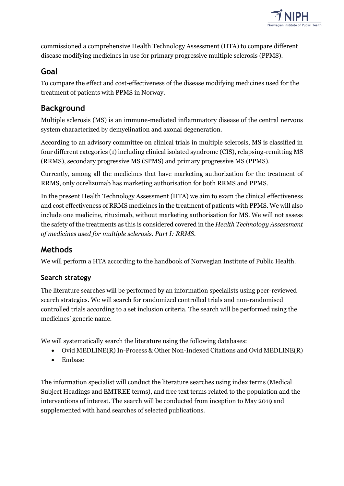

commissioned a comprehensive Health Technology Assessment (HTA) to compare different disease modifying medicines in use for primary progressive multiple sclerosis (PPMS).

# **Goal**

To compare the effect and cost-effectiveness of the disease modifying medicines used for the treatment of patients with PPMS in Norway.

# **Background**

Multiple sclerosis (MS) is an immune-mediated inflammatory disease of the central nervous system characterized by demyelination and axonal degeneration.

According to an advisory committee on clinical trials in multiple sclerosis, MS is classified in four different categories (1) including clinical isolated syndrome (CIS), relapsing-remitting MS (RRMS), secondary progressive MS (SPMS) and primary progressive MS (PPMS).

Currently, among all the medicines that have marketing authorization for the treatment of RRMS, only ocrelizumab has marketing authorisation for both RRMS and PPMS.

In the present Health Technology Assessment (HTA) we aim to exam the clinical effectiveness and cost effectiveness of RRMS medicines in the treatment of patients with PPMS. We will also include one medicine, rituximab, without marketing authorisation for MS. We will not assess the safety of the treatments as this is considered covered in the *Health Technology Assessment of medicines used for multiple sclerosis. Part I: RRMS.*

## **Methods**

We will perform a HTA according to the handbook of Norwegian Institute of Public Health.

### **Search strategy**

The literature searches will be performed by an information specialists using peer-reviewed search strategies. We will search for randomized controlled trials and non-randomised controlled trials according to a set inclusion criteria. The search will be performed using the medicines' generic name.

We will systematically search the literature using the following databases:

- Ovid MEDLINE(R) In-Process & Other Non-Indexed Citations and Ovid MEDLINE(R)
- Embase

The information specialist will conduct the literature searches using index terms (Medical Subject Headings and EMTREE terms), and free text terms related to the population and the interventions of interest. The search will be conducted from inception to May 2019 and supplemented with hand searches of selected publications.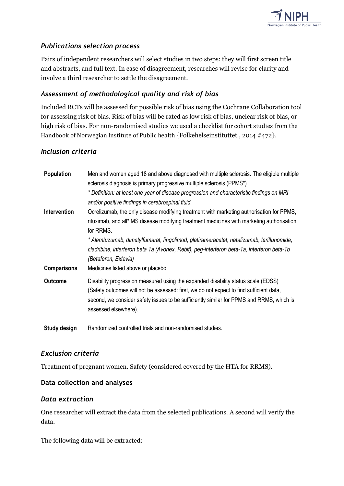

### *Publications selection process*

Pairs of independent researchers will select studies in two steps: they will first screen title and abstracts, and full text. In case of disagreement, researches will revise for clarity and involve a third researcher to settle the disagreement.

### *Assessment of methodological quality and risk of bias*

Included RCTs will be assessed for possible risk of bias using the Cochrane Collaboration tool for assessing risk of bias. Risk of bias will be rated as low risk of bias, unclear risk of bias, or high risk of bias. For non-randomised studies we used a checklist for cohort studies from the Handbook of Norwegian Institute of Public health {Folkehelseinstituttet., 2014 #472}.

#### *Inclusion criteria*

| <b>Population</b>  | Men and women aged 18 and above diagnosed with multiple sclerosis. The eligible multiple<br>sclerosis diagnosis is primary progressive multiple sclerosis (PPMS*).                                                                                                                               |
|--------------------|--------------------------------------------------------------------------------------------------------------------------------------------------------------------------------------------------------------------------------------------------------------------------------------------------|
|                    | * Definition: at least one year of disease progression and characteristic findings on MRI<br>and/or positive findings in cerebrospinal fluid.                                                                                                                                                    |
| Intervention       | Ocrelizumab, the only disease modifying treatment with marketing authorisation for PPMS,<br>rituximab, and all* MS disease modifying treatment medicines with marketing authorisation<br>for RRMS.                                                                                               |
| <b>Comparisons</b> | * Alemtuzumab, dimetylfumarat, fingolimod, glatirameracetet, natalizumab, teriflunomide,<br>cladribine, interferon beta 1a (Avonex, Rebif), peg-interferon beta-1a, interferon beta-1b<br>(Betaferon, Extavia)<br>Medicines listed above or placebo                                              |
| <b>Outcome</b>     | Disability progression measured using the expanded disability status scale (EDSS)<br>(Safety outcomes will not be assessed: first, we do not expect to find sufficient data,<br>second, we consider safety issues to be sufficiently similar for PPMS and RRMS, which is<br>assessed elsewhere). |
| Study design       | Randomized controlled trials and non-randomised studies.                                                                                                                                                                                                                                         |

#### *Exclusion criteria*

Treatment of pregnant women. Safety (considered covered by the HTA for RRMS).

#### **Data collection and analyses**

#### *Data extraction*

One researcher will extract the data from the selected publications. A second will verify the data.

The following data will be extracted: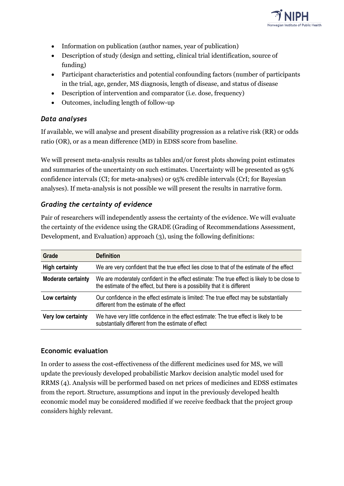

- Information on publication (author names, year of publication)
- Description of study (design and setting, clinical trial identification, source of funding)
- Participant characteristics and potential confounding factors (number of participants in the trial, age, gender, MS diagnosis, length of disease, and status of disease
- Description of intervention and comparator (i.e. dose, frequency)
- Outcomes, including length of follow-up

#### *Data analyses*

If available, we will analyse and present disability progression as a relative risk (RR) or odds ratio (OR), or as a mean difference (MD) in EDSS score from baseline.

We will present meta-analysis results as tables and/or forest plots showing point estimates and summaries of the uncertainty on such estimates. Uncertainty will be presented as 95% confidence intervals (CI; for meta-analyses) or 95% credible intervals (CrI; for Bayesian analyses). If meta-analysis is not possible we will present the results in narrative form.

### *Grading the certainty of evidence*

Pair of researchers will independently assess the certainty of the evidence. We will evaluate the certainty of the evidence using the GRADE (Grading of Recommendations Assessment, Development, and Evaluation) approach (3), using the following definitions:

| Grade                     | <b>Definition</b>                                                                                                                                                           |
|---------------------------|-----------------------------------------------------------------------------------------------------------------------------------------------------------------------------|
| <b>High certainty</b>     | We are very confident that the true effect lies close to that of the estimate of the effect                                                                                 |
| <b>Moderate certainty</b> | We are moderately confident in the effect estimate: The true effect is likely to be close to<br>the estimate of the effect, but there is a possibility that it is different |
| Low certainty             | Our confidence in the effect estimate is limited: The true effect may be substantially<br>different from the estimate of the effect                                         |
| Very low certainty        | We have very little confidence in the effect estimate: The true effect is likely to be<br>substantially different from the estimate of effect                               |

#### **Economic evaluation**

In order to assess the cost-effectiveness of the different medicines used for MS, we will update the previously developed probabilistic Markov decision analytic model used for RRMS (4). Analysis will be performed based on net prices of medicines and EDSS estimates from the report. Structure, assumptions and input in the previously developed health economic model may be considered modified if we receive feedback that the project group considers highly relevant.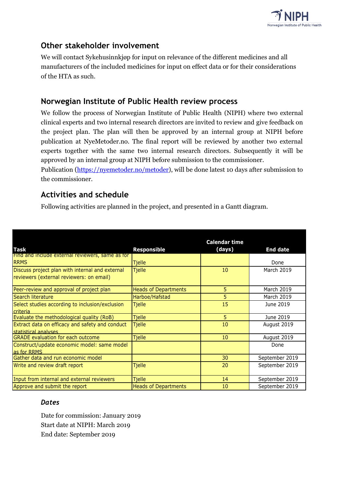

# **Other stakeholder involvement**

We will contact Sykehusinnkjøp for input on relevance of the different medicines and all manufacturers of the included medicines for input on effect data or for their considerations of the HTA as such.

## **Norwegian Institute of Public Health review process**

We follow the process of Norwegian Institute of Public Health (NIPH) where two external clinical experts and two internal research directors are invited to review and give feedback on the project plan. The plan will then be approved by an internal group at NIPH before publication at NyeMetoder.no. The final report will be reviewed by another two external experts together with the same two internal research directors. Subsequently it will be approved by an internal group at NIPH before submission to the commissioner.

Publication ([https://nyemetoder.no/metoder\)](https://nyemetoder.no/metoder), will be done latest 10 days after submission to the commissioner.

## **Activities and schedule**

Following activities are planned in the project, and presented in a Gantt diagram.

| <b>Task</b>                                                                                 | <b>Responsible</b>          | <b>Calendar time</b><br>(days) | <b>End date</b> |
|---------------------------------------------------------------------------------------------|-----------------------------|--------------------------------|-----------------|
| Find and include external reviewers, same as for<br><b>RRMS</b>                             | <b>Tjelle</b>               |                                | Done            |
| Discuss project plan with internal and external<br>reviewers (external reviewers: on email) | <b>Tjelle</b>               | 10                             | March 2019      |
| Peer-review and approval of project plan                                                    | <b>Heads of Departments</b> | 5                              | March 2019      |
| Search literature                                                                           | Harboe/Hafstad              | 5                              | March 2019      |
| Select studies according to inclusion/exclusion<br>criteria                                 | <b>Tjelle</b>               | 15                             | June 2019       |
| Evaluate the methodological quality (RoB)                                                   | <b>Tjelle</b>               | 5                              | June 2019       |
| Extract data on efficacy and safety and conduct<br>statistical analyses                     | <b>Tjelle</b>               | 10                             | August 2019     |
| <b>GRADE</b> evaluation for each outcome                                                    | <b>Tjelle</b>               | 10                             | August 2019     |
| Construct/update economic model: same model<br>as for RRMS                                  |                             |                                | Done            |
| Gather data and run economic model                                                          |                             | 30                             | September 2019  |
| Write and review draft report                                                               | <b>Tjelle</b>               | 20                             | September 2019  |
| Input from internal and external reviewers                                                  | <b>Tjelle</b>               | 14                             | September 2019  |
| Approve and submit the report                                                               | <b>Heads of Departments</b> | 10                             | September 2019  |

#### *Dates*

Date for commission: January 2019 Start date at NIPH: March 2019 End date: September 2019